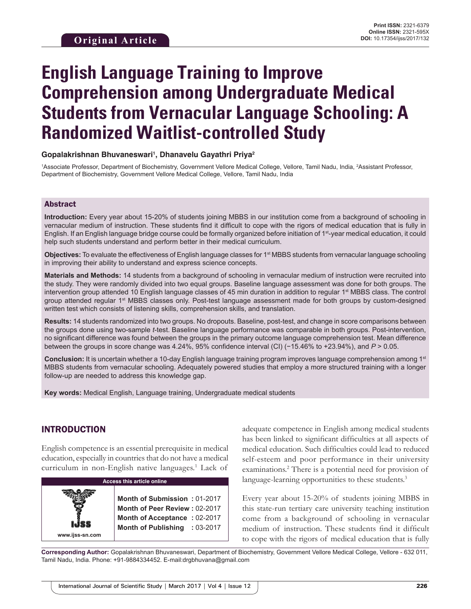# **English Language Training to Improve Comprehension among Undergraduate Medical Students from Vernacular Language Schooling: A Randomized Waitlist-controlled Study**

#### **Gopalakrishnan Bhuvaneswari1 , Dhanavelu Gayathri Priya2**

<sup>1</sup>Associate Professor, Department of Biochemistry, Government Vellore Medical College, Vellore, Tamil Nadu, India, <sup>2</sup>Assistant Professor, Department of Biochemistry, Government Vellore Medical College, Vellore, Tamil Nadu, India

#### Abstract

**Introduction:** Every year about 15-20% of students joining MBBS in our institution come from a background of schooling in vernacular medium of instruction. These students find it difficult to cope with the rigors of medical education that is fully in English. If an English language bridge course could be formally organized before initiation of 1st-year medical education, it could help such students understand and perform better in their medical curriculum.

**Objectives:** To evaluate the effectiveness of English language classes for 1<sup>st</sup> MBBS students from vernacular language schooling in improving their ability to understand and express science concepts.

**Materials and Methods:** 14 students from a background of schooling in vernacular medium of instruction were recruited into the study. They were randomly divided into two equal groups. Baseline language assessment was done for both groups. The intervention group attended 10 English language classes of 45 min duration in addition to regular 1<sup>st</sup> MBBS class. The control group attended regular 1<sup>st</sup> MBBS classes only. Post-test language assessment made for both groups by custom-designed written test which consists of listening skills, comprehension skills, and translation.

**Results:** 14 students randomized into two groups. No dropouts. Baseline, post-test, and change in score comparisons between the groups done using two-sample *t*-test. Baseline language performance was comparable in both groups. Post-intervention, no significant difference was found between the groups in the primary outcome language comprehension test. Mean difference between the groups in score change was 4.24%, 95% confidence interval (CI) (−15.46% to +23.94%), and *P* > 0.05.

**Conclusion:** It is uncertain whether a 10-day English language training program improves language comprehension among 1st MBBS students from vernacular schooling. Adequately powered studies that employ a more structured training with a longer follow-up are needed to address this knowledge gap.

**Key words:** Medical English, Language training, Undergraduate medical students

# INTRODUCTION

English competence is an essential prerequisite in medical education, especially in countries that do not have a medical curriculum in non-English native languages.<sup>1</sup> Lack of

| <b>Access this article online</b> |                                                                                                                                |  |
|-----------------------------------|--------------------------------------------------------------------------------------------------------------------------------|--|
| www.ijss-sn.com                   | Month of Submission: 01-2017<br>Month of Peer Review: 02-2017<br>Month of Acceptance: 02-2017<br>Month of Publishing : 03-2017 |  |

adequate competence in English among medical students has been linked to significant difficulties at all aspects of medical education. Such difficulties could lead to reduced self-esteem and poor performance in their university examinations.2 There is a potential need for provision of language-learning opportunities to these students.<sup>3</sup>

Every year about 15-20% of students joining MBBS in this state-run tertiary care university teaching institution come from a background of schooling in vernacular medium of instruction. These students find it difficult to cope with the rigors of medical education that is fully

**Corresponding Author:** Gopalakrishnan Bhuvaneswari, Department of Biochemistry, Government Vellore Medical College, Vellore - 632 011, Tamil Nadu, India. Phone: +91-9884334452. E-mail:drgbhuvana@gmail.com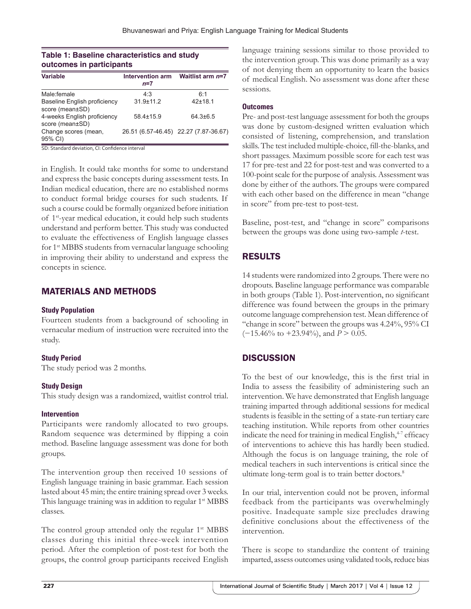### **Table 1: Baseline characteristics and study outcomes in participants**

| <b>Variable</b>                                        | <b>Intervention arm</b><br>$n=7$ | Waitlist arm $n=7$                    |
|--------------------------------------------------------|----------------------------------|---------------------------------------|
| Male:female                                            | 4.3                              | 6.1                                   |
| <b>Baseline English proficiency</b><br>score (mean±SD) | $31.9 \pm 11.2$                  | $42 + 18.1$                           |
| 4-weeks English proficiency<br>score (mean±SD)         | $58.4 \pm 15.9$                  | $64.3\pm 6.5$                         |
| Change scores (mean,<br>95% CI)                        |                                  | 26.51 (6.57-46.45) 22.27 (7.87-36.67) |

SD: Standard deviation, CI: Confidence interval

in English. It could take months for some to understand and express the basic concepts during assessment tests. In Indian medical education, there are no established norms to conduct formal bridge courses for such students. If such a course could be formally organized before initiation of 1st-year medical education, it could help such students understand and perform better. This study was conducted to evaluate the effectiveness of English language classes for 1st MBBS students from vernacular language schooling in improving their ability to understand and express the concepts in science.

# MATERIALS AND METHODS

#### **Study Population**

Fourteen students from a background of schooling in vernacular medium of instruction were recruited into the study.

#### **Study Period**

The study period was 2 months.

#### **Study Design**

This study design was a randomized, waitlist control trial.

#### **Intervention**

Participants were randomly allocated to two groups. Random sequence was determined by flipping a coin method. Baseline language assessment was done for both groups.

The intervention group then received 10 sessions of English language training in basic grammar. Each session lasted about 45 min; the entire training spread over 3 weeks. This language training was in addition to regular 1st MBBS classes.

The control group attended only the regular  $1<sup>st</sup> MBBS$ classes during this initial three-week intervention period. After the completion of post-test for both the groups, the control group participants received English language training sessions similar to those provided to the intervention group. This was done primarily as a way of not denying them an opportunity to learn the basics of medical English. No assessment was done after these sessions.

#### **Outcomes**

Pre- and post-test language assessment for both the groups was done by custom-designed written evaluation which consisted of listening, comprehension, and translation skills. The test included multiple-choice, fill-the-blanks, and short passages. Maximum possible score for each test was 17 for pre-test and 22 for post-test and was converted to a 100-point scale for the purpose of analysis. Assessment was done by either of the authors. The groups were compared with each other based on the difference in mean "change in score" from pre-test to post-test.

Baseline, post-test, and "change in score" comparisons between the groups was done using two-sample *t*-test.

# RESULTS

14 students were randomized into 2 groups. There were no dropouts. Baseline language performance was comparable in both groups (Table 1). Post-intervention, no significant difference was found between the groups in the primary outcome language comprehension test. Mean difference of "change in score" between the groups was 4.24%, 95% CI (−15.46% to +23.94%), and *P* > 0.05.

# **DISCUSSION**

To the best of our knowledge, this is the first trial in India to assess the feasibility of administering such an intervention. We have demonstrated that English language training imparted through additional sessions for medical students is feasible in the setting of a state-run tertiary care teaching institution. While reports from other countries indicate the need for training in medical English, $47$  efficacy of interventions to achieve this has hardly been studied. Although the focus is on language training, the role of medical teachers in such interventions is critical since the ultimate long-term goal is to train better doctors.<sup>8</sup>

In our trial, intervention could not be proven, informal feedback from the participants was overwhelmingly positive. Inadequate sample size precludes drawing definitive conclusions about the effectiveness of the intervention.

There is scope to standardize the content of training imparted, assess outcomes using validated tools, reduce bias